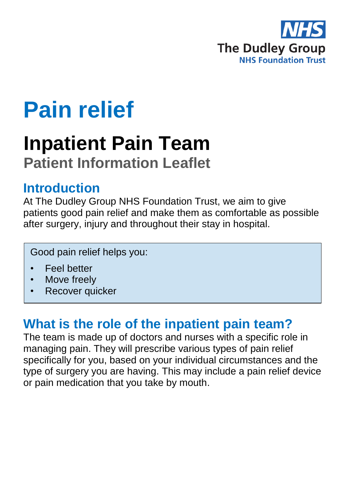

# **Pain relief**

# **Inpatient Pain Team Patient Information Leaflet**

### **Introduction**

At The Dudley Group NHS Foundation Trust, we aim to give patients good pain relief and make them as comfortable as possible after surgery, injury and throughout their stay in hospital.

Good pain relief helps you:

- Feel better
- Move freely
- Recover quicker

## **What is the role of the inpatient pain team?**

The team is made up of doctors and nurses with a specific role in managing pain. They will prescribe various types of pain relief specifically for you, based on your individual circumstances and the type of surgery you are having. This may include a pain relief device or pain medication that you take by mouth.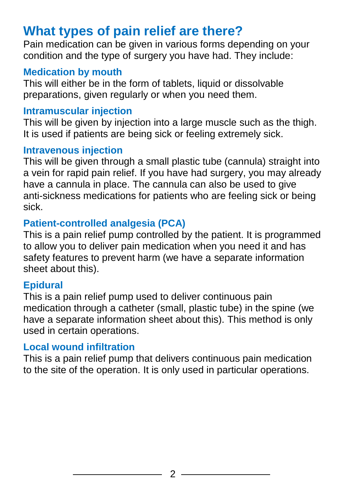# **What types of pain relief are there?**

Pain medication can be given in various forms depending on your condition and the type of surgery you have had. They include:

#### **Medication by mouth**

This will either be in the form of tablets, liquid or dissolvable preparations, given regularly or when you need them.

#### **Intramuscular injection**

This will be given by injection into a large muscle such as the thigh. It is used if patients are being sick or feeling extremely sick.

#### **Intravenous injection**

This will be given through a small plastic tube (cannula) straight into a vein for rapid pain relief. If you have had surgery, you may already have a cannula in place. The cannula can also be used to give anti-sickness medications for patients who are feeling sick or being sick.

#### **Patient-controlled analgesia (PCA)**

This is a pain relief pump controlled by the patient. It is programmed to allow you to deliver pain medication when you need it and has safety features to prevent harm (we have a separate information sheet about this).

#### **Epidural**

This is a pain relief pump used to deliver continuous pain medication through a catheter (small, plastic tube) in the spine (we have a separate information sheet about this). This method is only used in certain operations.

#### **Local wound infiltration**

This is a pain relief pump that delivers continuous pain medication to the site of the operation. It is only used in particular operations.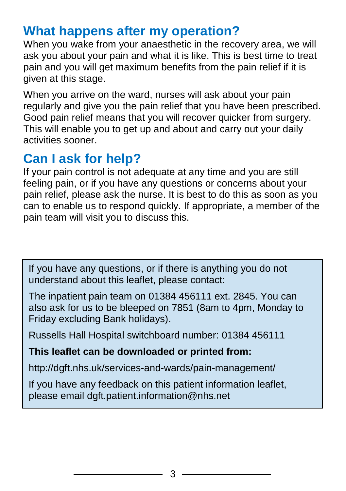# **What happens after my operation?**

When you wake from your anaesthetic in the recovery area, we will ask you about your pain and what it is like. This is best time to treat pain and you will get maximum benefits from the pain relief if it is given at this stage.

When you arrive on the ward, nurses will ask about your pain regularly and give you the pain relief that you have been prescribed. Good pain relief means that you will recover quicker from surgery. This will enable you to get up and about and carry out your daily activities sooner.

# **Can I ask for help?**

If your pain control is not adequate at any time and you are still feeling pain, or if you have any questions or concerns about your pain relief, please ask the nurse. It is best to do this as soon as you can to enable us to respond quickly. If appropriate, a member of the pain team will visit you to discuss this.

If you have any questions, or if there is anything you do not understand about this leaflet, please contact:

The inpatient pain team on 01384 456111 ext. 2845. You can also ask for us to be bleeped on 7851 (8am to 4pm, Monday to Friday excluding Bank holidays).

Russells Hall Hospital switchboard number: 01384 456111

#### **This leaflet can be downloaded or printed from:**

http://dgft.nhs.uk/services-and-wards/pain-management/

If you have any feedback on this patient information leaflet, please email dgft.patient.information@nhs.net